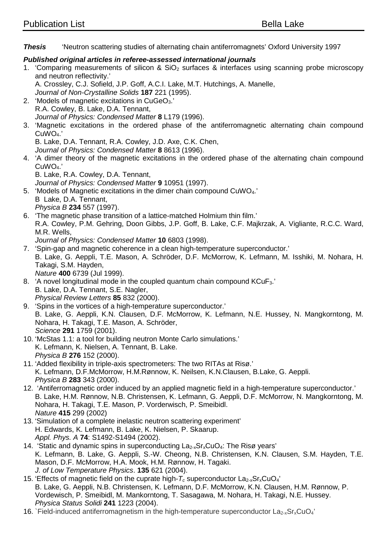*Thesis* 'Neutron scattering studies of alternating chain antiferromagnets' Oxford University 1997

## *Published original articles in referee-assessed international journals*

- 1. 'Comparing measurements of silicon & SiO2 surfaces & interfaces using scanning probe microscopy and neutron reflectivity.'
	- A. Crossley, C.J. Sofield, J.P. Goff, A.C.I. Lake, M.T. Hutchings, A. Manelle,

*Journal of Non-Crystalline Solids* **187** 221 (1995).

- 2. 'Models of magnetic excitations in CuGeO<sub>3</sub>.' R.A. Cowley, B. Lake, D.A. Tennant, *Journal of Physics: Condensed Matter* **8** L179 (1996).
- 3. 'Magnetic excitations in the ordered phase of the antiferromagnetic alternating chain compound CuWO4.'

B. Lake, D.A. Tennant, R.A. Cowley, J.D. Axe, C.K. Chen,

*Journal of Physics: Condensed Matter* **8** 8613 (1996).

- 4. 'A dimer theory of the magnetic excitations in the ordered phase of the alternating chain compound CuWO4.'
	- B. Lake, R.A. Cowley, D.A. Tennant,
	- *Journal of Physics: Condensed Matter* **9** 10951 (1997).
- 5. 'Models of Magnetic excitations in the dimer chain compound CuWO4.' B Lake, D.A. Tennant, *Physica B* **234** 557 (1997).
- 6. 'The magnetic phase transition of a lattice-matched Holmium thin film.' R.A. Cowley, P.M. Gehring, Doon Gibbs, J.P. Goff, B. Lake, C.F. Majkrzak, A. Vigliante, R.C.C. Ward, M.R. Wells,
- *Journal of Physics: Condensed Matter* **10** 6803 (1998).
- 7. 'Spin-gap and magnetic coherence in a clean high-temperature superconductor.' B. Lake, G. Aeppli, T.E. Mason, A. Schröder, D.F. McMorrow, K. Lefmann, M. Isshiki, M. Nohara, H. Takagi, S.M. Hayden, *Nature* **400** 6739 (Jul 1999).
- 8. 'A novel longitudinal mode in the coupled quantum chain compound KCuF3.' B. Lake, D.A. Tennant, S.E. Nagler, *Physical Review Letters* **85** 832 (2000).
- 9. 'Spins in the vortices of a high-temperature superconductor.' B. Lake, G. Aeppli, K.N. Clausen, D.F. McMorrow, K. Lefmann, N.E. Hussey, N. Mangkorntong, M. Nohara, H. Takagi, T.E. Mason, A. Schröder, *Science* **291** 1759 (2001).
- 10. 'McStas 1.1: a tool for building neutron Monte Carlo simulations.' K. Lefmann, K. Nielsen, A. Tennant, B. Lake. *Physica B* **276** 152 (2000).
- 11. 'Added flexibility in triple-axis spectrometers: The two RITAs at Risø.' K. Lefmann, D.F.McMorrow, H.M.Rønnow, K. Neilsen, K.N.Clausen, B.Lake, G. Aeppli. *Physica B* **283** 343 (2000).
- 12. 'Antiferromagnetic order induced by an applied magnetic field in a high-temperature superconductor.' B. Lake, H.M. Rønnow, N.B. Christensen, K. Lefmann, G. Aeppli, D.F. McMorrow, N. Mangkorntong, M. Nohara, H. Takagi, T.E. Mason, P. Vorderwisch, P. Smeibidl. *Nature* **415** 299 (2002)
- 13. 'Simulation of a complete inelastic neutron scattering experiment' H. Edwards, K. Lefmann, B. Lake, K. Nielsen, P. Skaarup. *Appl. Phys. A* **74**: S1492-S1494 (2002).
- 14. 'Static and dynamic spins in superconducting La<sub>2-x</sub>Sr<sub>x</sub>CuO<sub>4</sub>: The Risø years' K. Lefmann, B. Lake, G. Aeppli, S.-W. Cheong, N.B. Christensen, K.N. Clausen, S.M. Hayden, T.E. Mason, D.F. McMorrow, H.A. Mook, H.M. Rønnow, H. Tagaki. *J. of Low Temperature Physics*. **135** 621 (2004).
- 15. 'Effects of magnetic field on the cuprate high- $T_c$  superconductor  $La<sub>2-x</sub>Sr<sub>x</sub>CuO<sub>4</sub>'$ B. Lake, G. Aeppli, N.B. Christensen, K. Lefmann, D.F. McMorrow, K.N. Clausen, H.M. Rønnow, P. Vordewisch, P. Smeibidl, M. Mankorntong, T. Sasagawa, M. Nohara, H. Takagi, N.E. Hussey. *Physica Status Solidi* **241** 1223 (2004).
- 16. `Field-induced antiferromagnetism in the high-temperature superconductor  $La<sub>2-x</sub>S<sub>x</sub>C<sub>4</sub>$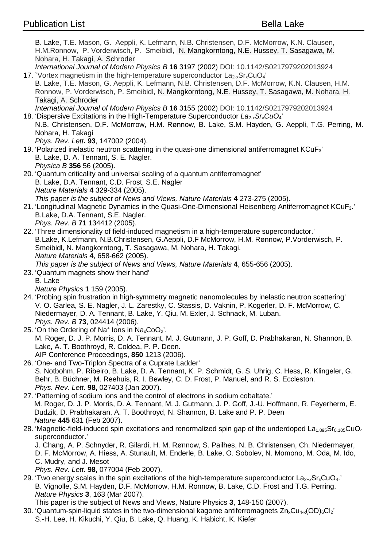|  | B. Lake, T.E. Mason, G. Aeppli, K. Lefmann, N.B. Christensen, D.F. McMorrow, K.N. Clausen,<br>H.M.Ronnow, P. Vorderwisch, P. Smeibidl, N. Mangkorntong, N.E. Hussey, T. Sasagawa, M.<br>Nohara, H. Takagi, A. Schroder |
|--|------------------------------------------------------------------------------------------------------------------------------------------------------------------------------------------------------------------------|
|  | International Journal of Modern Physics B 16 3197 (2002) DOI: 10.1142/S0217979202013924                                                                                                                                |
|  | 17. Vortex magnetism in the high-temperature superconductor $La2-xSrxCuO4$                                                                                                                                             |
|  | B. Lake, T.E. Mason, G. Aeppli, K. Lefmann, N.B. Christensen, D.F. McMorrow, K.N. Clausen, H.M.<br>Ronnow, P. Vorderwisch, P. Smeibidl, N. Mangkorntong, N.E. Hussey, T. Sasagawa, M. Nohara, H.                       |
|  | Takagi, A. Schroder                                                                                                                                                                                                    |
|  | International Journal of Modern Physics B 16 3155 (2002) DOI: 10.1142/S0217979202013924<br>18. 'Dispersive Excitations in the High-Temperature Superconductor $La_{2-x}Sr_{x}CuO_{4}$ '                                |
|  | N.B. Christensen, D.F. McMorrow, H.M. Rønnow, B. Lake, S.M. Hayden, G. Aeppli, T.G. Perring, M.                                                                                                                        |
|  | Nohara, H. Takagi                                                                                                                                                                                                      |
|  | Phys. Rev. Lett. 93, 147002 (2004).                                                                                                                                                                                    |
|  | 19. 'Polarized inelastic neutron scattering in the quasi-one dimensional antiferromagnet $KCuF_3$ '                                                                                                                    |
|  | B. Lake, D. A. Tennant, S. E. Nagler.                                                                                                                                                                                  |
|  | Physica B 356 56 (2005).                                                                                                                                                                                               |
|  | 20. 'Quantum criticality and universal scaling of a quantum antiferromagnet'                                                                                                                                           |
|  | B. Lake, D.A. Tennant, C.D. Frost, S.E. Nagler                                                                                                                                                                         |
|  | Nature Materials 4 329-334 (2005).                                                                                                                                                                                     |
|  | This paper is the subject of News and Views, Nature Materials 4 273-275 (2005).                                                                                                                                        |
|  | 21. 'Longitudinal Magnetic Dynamics in the Quasi-One-Dimensional Heisenberg Antiferromagnet KCuF <sub>3</sub> .'                                                                                                       |
|  | B.Lake, D.A. Tennant, S.E. Nagler.                                                                                                                                                                                     |
|  | Phys. Rev. B 71 134412 (2005).                                                                                                                                                                                         |
|  | 22. 'Three dimensionality of field-induced magnetism in a high-temperature superconductor.'                                                                                                                            |
|  | B.Lake, K.Lefmann, N.B.Christensen, G.Aeppli, D.F McMorrow, H.M. Rønnow, P.Vorderwisch, P.                                                                                                                             |
|  | Smeibidl, N. Mangkorntong, T. Sasagawa, M. Nohara, H. Takagi.                                                                                                                                                          |
|  | Nature Materials 4, 658-662 (2005).                                                                                                                                                                                    |
|  | This paper is the subject of News and Views, Nature Materials 4, 655-656 (2005).                                                                                                                                       |
|  | 23. 'Quantum magnets show their hand'                                                                                                                                                                                  |
|  | B. Lake                                                                                                                                                                                                                |
|  | Nature Physics 1 159 (2005).                                                                                                                                                                                           |
|  | 24. 'Probing spin frustration in high-symmetry magnetic nanomolecules by inelastic neutron scattering'                                                                                                                 |
|  | V. O. Garlea, S. E. Nagler, J. L. Zarestky, C. Stassis, D. Vaknin, P. Kogerler, D. F. McMorrow, C.                                                                                                                     |
|  | Niedermayer, D. A. Tennant, B. Lake, Y. Qiu, M. Exler, J. Schnack, M. Luban.                                                                                                                                           |
|  | Phys. Rev. B73, 024414 (2006).                                                                                                                                                                                         |
|  | 25. 'On the Ordering of Na <sup>+</sup> lons in Na <sub>x</sub> CoO <sub>2</sub> '.                                                                                                                                    |
|  | M. Roger, D. J. P. Morris, D. A. Tennant, M. J. Gutmann, J. P. Goff, D. Prabhakaran, N. Shannon, B.                                                                                                                    |
|  | Lake, A. T. Boothroyd, R. Coldea, P. P. Deen.                                                                                                                                                                          |
|  | AIP Conference Proceedings, 850 1213 (2006).                                                                                                                                                                           |
|  | 26. 'One- and Two-Triplon Spectra of a Cuprate Ladder'                                                                                                                                                                 |
|  | S. Notbohm, P. Ribeiro, B. Lake, D. A. Tennant, K. P. Schmidt, G. S. Uhrig, C. Hess, R. Klingeler, G.<br>Behr, B. Büchner, M. Reehuis, R. I. Bewley, C. D. Frost, P. Manuel, and R. S. Eccleston.                      |
|  | Phys. Rev. Lett. 98, 027403 (Jan 2007).                                                                                                                                                                                |
|  | 27. 'Patterning of sodium ions and the control of electrons in sodium cobaltate.'                                                                                                                                      |
|  | M. Roger, D. J. P. Morris, D. A. Tennant, M. J. Gutmann, J. P. Goff, J.-U. Hoffmann, R. Feyerherm, E.                                                                                                                  |
|  |                                                                                                                                                                                                                        |

Dudzik, D. Prabhakaran, A. T. Boothroyd, N. Shannon, B. Lake and P. P. Deen *Nature* **445** 631 (Feb 2007).

28. 'Magnetic-field-induced spin excitations and renormalized spin gap of the underdoped La<sub>1.895</sub>Sr<sub>0.105</sub>CuO<sub>4</sub> superconductor.'

J. Chang, A. P. Schnyder, R. Gilardi, H. M. Rønnow, S. Pailhes, N. B. Christensen, Ch. Niedermayer, D. F. McMorrow, A. Hiess, A. Stunault, M. Enderle, B. Lake, O. Sobolev, N. Momono, M. Oda, M. Ido, C. Mudry, and J. Mesot

*Phys. Rev. Lett*. **98,** 077004 (Feb 2007).

- 29. 'Two energy scales in the spin excitations of the high-temperature superconductor La2−*x*Sr*x*CuO4.' B. Vignolle, S.M. Hayden, D.F. McMorrow, H.M. Ronnow, B. Lake, C.D. Frost and T.G. Perring. *Nature Physics* **3**, 163 (Mar 2007).
- This paper is the subject of News and Views, Nature Physics **3**, 148-150 (2007). 30. 'Quantum-spin-liquid states in the two-dimensional kagome antiferromagnets  $Zn_xCu_{4-x}(OD)_{6}Cl_{2}$ '
- S.-H. Lee, H. Kikuchi, Y. Qiu, B. Lake, Q. Huang, K. Habicht, K. Kiefer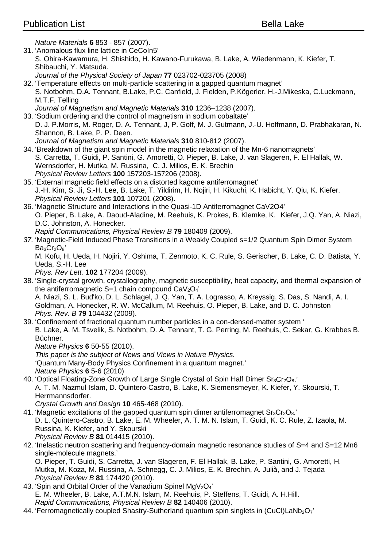*Nature Materials* **6** 853 - 857 (2007).

- 31. 'Anomalous flux line lattice in CeCoIn5' S. Ohira-Kawamura, H. Shishido, H. Kawano-Furukawa, B. Lake, A. Wiedenmann, K. Kiefer, T. Shibauchi, Y. Matsuda. *Journal of the Physical Society of Japan* **77** 023702-023705 (2008)
- 32. 'Temperature effects on multi-particle scattering in a gapped quantum magnet' S. Notbohm, D.A. Tennant, B.Lake, P.C. Canfield, J. Fielden, P.Kögerler, H.-J.Mikeska, C.Luckmann, M.T.F. Telling
	- *Journal of Magnetism and Magnetic Materials* **310** 1236–1238 (2007).
- 33. 'Sodium ordering and the control of magnetism in sodium cobaltate' D. J. P.Morris, M. Roger, D. A. Tennant, J, P. Goff, M. J. Gutmann, J.-U. Hoffmann, D. Prabhakaran, N. Shannon, B. Lake, P. P. Deen. *Journal of Magnetism and Magnetic Materials* **310** 810-812 (2007).
- 34. 'Breakdown of the giant spin model in the magnetic relaxation of the Mn-6 nanomagnets' S. Carretta, T. Guidi, P. Santini, G. Amoretti, O. Pieper, B. Lake, J. van Slageren, F. El Hallak, W. Wernsdorfer, H. Mutka, M. Russina, C. J. Milios, E. K. Brechin *Physical Review Letters* **100** 157203-157206 (2008).
- 35. 'External magnetic field effects on a distorted kagome antiferromagnet' J.-H. Kim, S. Ji, S.-H. Lee, B. Lake, T. Yildirim, H. Nojiri, H. Kikuchi, K. Habicht, Y. Qiu, K. Kiefer. *Physical Review Letters* **101** 107201 (2008).
- 36. 'Magnetic Structure and Interactions in the Quasi-1D Antiferromagnet CaV2O4' O. Pieper, B. Lake, A. Daoud-Aladine, M. Reehuis, K. Prokes, B. Klemke, K. Kiefer, J.Q. Yan, A. Niazi, D.C. Johnston, A. Honecker. *Rapid Communications, Physical Review B* **79** 180409 (2009).
- *37.* 'Magnetic-Field Induced Phase Transitions in a Weakly Coupled s=1/2 Quantum Spin Dimer System  $Ba<sub>3</sub>Cr<sub>2</sub>O<sub>8</sub>$

M. Kofu, H. Ueda, H. Nojiri, Y. Oshima, T. Zenmoto, K. C. Rule, S. Gerischer, B. Lake, C. D. Batista, Y. Ueda, S.-H. Lee

*Phys. Rev Lett.* **102** 177204 (2009).

- 38. 'Single-crystal growth, crystallography, magnetic susceptibility, heat capacity, and thermal expansion of the antiferromagnetic  $S=1$  chain compound  $CaV<sub>2</sub>O<sub>4</sub>'$ A. Niazi, S. L. Bud'ko, D. L. Schlagel, J. Q. Yan, T. A. Lograsso, A. Kreyssig, S. Das, S. Nandi, A. I. Goldman, A. Honecker, R. W. McCallum, M. Reehuis, O. Pieper, B. Lake, and D. C. Johnston *Phys. Rev. B* **79** 104432 (2009).
- 39. 'Confinement of fractional quantum number particles in a con-densed-matter system ' B. Lake, A. M. Tsvelik, S. Notbohm, D. A. Tennant, T. G. Perring, M. Reehuis, C. Sekar, G. Krabbes B. Büchner.

*Nature Physics* **6** 50-55 (2010).

*This paper is the subject of News and Views in Nature Physics.* 

'Quantum Many-Body Physics Confinement in a quantum magnet.' *Nature Physics* **6** 5-6 (2010)

40. 'Optical Floating-Zone Growth of Large Single Crystal of Spin Half Dimer Sr<sub>3</sub>Cr<sub>2</sub>O<sub>8</sub>.' A. T. M. Nazmul Islam, D. Quintero-Castro, B. Lake, K. Siemensmeyer, K. Kiefer, Y. Skourski, T. Herrmannsdorfer.

*Crystal Growth and Design* **10** 465-468 (2010).

- 41. 'Magnetic excitations of the gapped quantum spin dimer antiferromagnet  $Sr<sub>3</sub>Cr<sub>2</sub>Os.$ ' D. L. Quintero-Castro, B. Lake, E. M. Wheeler, A. T. M. N. Islam, T. Guidi, K. C. Rule, Z. Izaola, M. Russina, K. Kiefer, and Y. Skourski *Physical Review B* **81** 014415 (2010).
- 42. 'Inelastic neutron scattering and frequency-domain magnetic resonance studies of S=4 and S=12 Mn6 single-molecule magnets.' O. Pieper, T. Guidi, S. Carretta, J. van Slageren, F. El Hallak, B. Lake, P. Santini, G. Amoretti, H.
	- Mutka, M. Koza, M. Russina, A. Schnegg, C. J. Milios, E. K. Brechin, A. Julià, and J. Tejada *Physical Review B* **81** 174420 (2010).
- 43. 'Spin and Orbital Order of the Vanadium Spinel  $MgV<sub>2</sub>O<sub>4</sub>'$ E. M. Wheeler, B. Lake, A.T.M.N. Islam, M. Reehuis, P. Steffens, T. Guidi, A. H.Hill. *Rapid Communications, Physical Review B* **82** 140406 (2010).
- 44. 'Ferromagnetically coupled Shastry-Sutherland quantum spin singlets in  $(CuCl)$ LaNb<sub>2</sub>O<sub>7</sub>'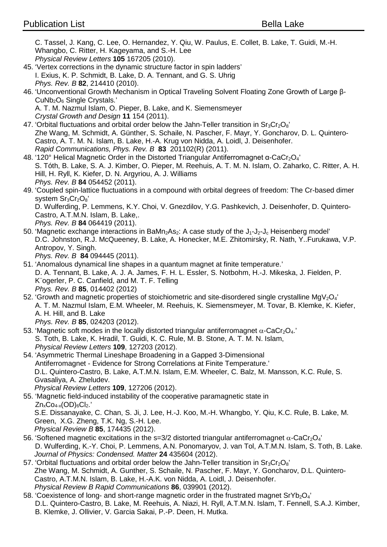C. Tassel, J. Kang, C. Lee, O. Hernandez, Y. Qiu, W. Paulus, E. Collet, B. Lake, T. Guidi, M.-H. Whangbo, C. Ritter, H. Kageyama, and S.-H. Lee *Physical Review Letters* **105** 167205 (2010).

- 45. 'Vertex corrections in the dynamic structure factor in spin ladders' I. Exius, K. P. Schmidt, B. Lake, D. A. Tennant, and G. S. Uhrig *Phys. Rev. B* **82**, 214410 (2010).
- 46. 'Unconventional Growth Mechanism in Optical Traveling Solvent Floating Zone Growth of Large β-CuNb2O6 Single Crystals.'
	- A. T. M. Nazmul Islam, O. Pieper, B. Lake, and K. Siemensmeyer
	- *Crystal Growth and Design* **11** 154 (2011).
- 47. 'Orbital fluctuations and orbital order below the Jahn-Teller transition in  $Sr_3Cr_2O_8$ ' Zhe Wang, M. Schmidt, A. Günther, S. Schaile, N. Pascher, F. Mayr, Y. Goncharov, D. L. Quintero-Castro, A. T. M. N. Islam, B. Lake, H.-A. Krug von Nidda, A. Loidl, J. Deisenhofer. *Rapid Communications, Phys. Rev. B* **83** 201102(R) (2011).
- 48. '120° Helical Magnetic Order in the Distorted Triangular Antiferromagnet  $\alpha$ -CaCr<sub>2</sub>O<sub>4</sub>' S. Tóth, B. Lake, S. A. J. Kimber, O. Pieper, M. Reehuis, A. T. M. N. Islam, O. Zaharko, C. Ritter, A. H. Hill, H. Ryll, K. Kiefer, D. N. Argyriou, A. J. Williams *Phys. Rev. B* **84** 054452 (2011).
- 49. 'Coupled spin-lattice fluctuations in a compound with orbital degrees of freedom: The Cr-based dimer system  $Sr<sub>3</sub>Cr<sub>2</sub>O<sub>8</sub>'$

D. Wulferding, P. Lemmens, K.Y. Choi, V. Gnezdilov, Y.G. Pashkevich, J. Deisenhofer, D. Quintero-Castro, A.T.M.N. Islam, B. Lake,.

*Phys. Rev. B* **84** 064419 (2011).

50. 'Magnetic exchange interactions in BaMn<sub>2</sub>As<sub>2</sub>: A case study of the  $J_1-J_2-J_c$  Heisenberg model' D.C. Johnston, R.J. McQueeney, B. Lake, A. Honecker, M.E. Zhitomirsky, R. Nath, Y..Furukawa, V.P. Antropov, Y. Singh.

*Phys. Rev. B* **84** 094445 (2011).

- 51. 'Anomalous dynamical line shapes in a quantum magnet at finite temperature.' D. A. Tennant, B. Lake, A. J. A. James, F. H. L. Essler, S. Notbohm, H.-J. Mikeska, J. Fielden, P. K¨ogerler, P. C. Canfield, and M. T. F. Telling *Phys. Rev. B* **85**, 014402 (2012)
- 52. 'Growth and magnetic properties of stoichiometric and site-disordered single crystalline MgV<sub>2</sub>O<sub>4</sub>' A. T. M. Nazmul Islam, E.M. Wheeler, M. Reehuis, K. Siemensmeyer, M. Tovar, B. Klemke, K. Kiefer, A. H. Hill, and B. Lake *Phys. Rev. B* **85**, 024203 (2012).
- 53. 'Magnetic soft modes in the locally distorted triangular antiferromagnet  $\alpha$ -CaCr<sub>2</sub>O<sub>4</sub>.' S. Toth, B. Lake, K. Hradil, T. Guidi, K. C. Rule, M. B. Stone, A. T. M. N. Islam, *Physical Review Letters* **109**, 127203 (2012).
- 54. 'Asymmetric Thermal Lineshape Broadening in a Gapped 3-Dimensional Antiferromagnet - Evidence for Strong Correlations at Finite Temperature.' D.L. Quintero-Castro, B. Lake, A.T.M.N. Islam, E.M. Wheeler, C. Balz, M. Mansson, K.C. Rule, S. Gvasaliya, A. Zheludev. *Physical Review Letters* **109**, 127206 (2012).

55. 'Magnetic field-induced instability of the cooperative paramagnetic state in  $Zn_xCo_{4-x}(OD)_6Cl_2.$ S.E. Dissanayake, C. Chan, S. Ji, J. Lee, H.-J. Koo, M.-H. Whangbo, Y. Qiu, K.C. Rule, B. Lake, M. Green, X.G. Zheng, T.K. Ng, S.-H. Lee. *Physical Review B* **85**, 174435 (2012).

- 56. 'Softened magnetic excitations in the s=3/2 distorted triangular antiferromagnet  $\alpha$ -CaCr<sub>2</sub>O<sub>4</sub>' D. Wulferding, K.-Y. Choi, P. Lemmens, A.N. Ponomaryov, J. van Tol, A.T.M.N. Islam, S. Toth, B. Lake. *Journal of Physics: Condensed. Matter* **24** 435604 (2012).
- 57. 'Orbital fluctuations and orbital order below the Jahn-Teller transition in  $Sr_3Cr_2O_8$ ' Zhe Wang, M. Schmidt, A. Gunther, S. Schaile, N. Pascher, F. Mayr, Y. Goncharov, D.L. Quintero-Castro, A.T.M.N. Islam, B. Lake, H.-A.K. von Nidda, A. Loidl, J. Deisenhofer. *Physical Review B Rapid Communications* **86**, 039901 (2012).
- 58. 'Coexistence of long- and short-range magnetic order in the frustrated magnet  $SrYb<sub>2</sub>O<sub>4</sub>'$ D.L. Quintero-Castro, B. Lake, M. Reehuis, A. Niazi, H. Ryll, A.T.M.N. Islam, T. Fennell, S.A.J. Kimber, B. Klemke, J. Ollivier, V. Garcia Sakai, P.-P. Deen, H. Mutka.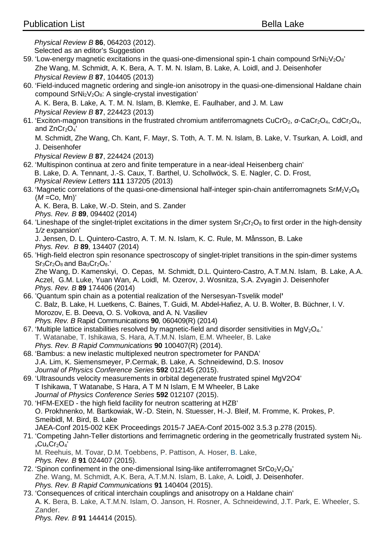*Physical Review B* **86**, 064203 (2012).

Selected as an editor's Suggestion

- 59. 'Low-energy magnetic excitations in the quasi-one-dimensional spin-1 chain compound  $SrNi<sub>2</sub>V<sub>2</sub>O<sub>8</sub>'$ Zhe Wang, M. Schmidt, A. K. Bera, A. T. M. N. Islam, B. Lake, A. Loidl, and J. Deisenhofer *Physical Review B* **87**, 104405 (2013)
- 60. 'Field-induced magnetic ordering and single-ion anisotropy in the quasi-one-dimensional Haldane chain compound SrNi<sub>2</sub>V<sub>2</sub>O<sub>8</sub>: A single-crystal investigation'

A. K. Bera, B. Lake, A. T. M. N. Islam, B. Klemke, E. Faulhaber, and J. M. Law *Physical Review B* **87**, 224423 (2013)

61. 'Exciton-magnon transitions in the frustrated chromium antiferromagnets CuCrO<sub>2</sub>, α-CaCr<sub>2</sub>O<sub>4</sub>, CdCr<sub>2</sub>O<sub>4</sub>, and  $ZnCr<sub>2</sub>O<sub>4</sub>'$ 

M. Schmidt, Zhe Wang, Ch. Kant, F. Mayr, S. Toth, A. T. M. N. Islam, B. Lake, V. Tsurkan, A. Loidl, and J. Deisenhofer

*Physical Review B* **87**, 224424 (2013)

- 62. 'Multispinon continua at zero and finite temperature in a near-ideal Heisenberg chain' B. Lake, D. A. Tennant, J.-S. Caux, T. Barthel, U. Schollwöck, S. E. Nagler, C. D. Frost, *Physical Review Letters* **111** 137205 (2013)
- 63. 'Magnetic correlations of the quasi-one-dimensional half-integer spin-chain antiferromagnets SrM<sub>2</sub>V<sub>2</sub>O<sub>8</sub>  $(M = Co, Mn)'$ 
	- A. K. Bera, B. Lake, W.-D. Stein, and S. Zander

*Phys. Rev. B* **89**, 094402 (2014)

64. 'Lineshape of the singlet-triplet excitations in the dimer system  $Sr_3Cr_2O_8$  to first order in the high-density 1*/z* expansion'

J. Jensen, D. L. Quintero-Castro, A. T. M. N. Islam, K. C. Rule, M. Månsson, B. Lake *Phys. Rev. B* **89**, 134407 (2014)

65. 'High-field electron spin resonance spectroscopy of singlet-triplet transitions in the spin-dimer systems  $Sr<sub>3</sub>Cr<sub>2</sub>O<sub>8</sub>$  and  $Ba<sub>3</sub>Cr<sub>2</sub>O<sub>8</sub>$ .

Zhe Wang, D. Kamenskyi, O. Cepas, M. Schmidt, D.L. Quintero-Castro, A.T.M.N. Islam, B. Lake, A.A. Aczel, G.M. Luke, Yuan Wan, A. Loidl, M. Ozerov, J. Wosnitza, S.A. Zvyagin J. Deisenhofer *Phys. Rev. B* **89** 174406 (2014)

- 66. ['Quantum spin chain as a potential realization of the Nersesyan-Tsvelik model](http://journals.aps.org/prb/abstract/10.1103/PhysRevB.90.060409)**'** C. Balz, B. Lake, H. Luetkens, C. Baines, T. Guidi, M. Abdel-Hafiez, A. U. B. Wolter, B. Büchner, I. V. Morozov, E. B. Deeva, O. S. Volkova, and A. N. Vasiliev *Phys. Rev. B* Rapid Communications **90***,* 060409(R) (2014)
- 67. 'Multiple lattice instabilities resolved by magnetic-field and disorder sensitivities in MgV<sub>2</sub>O<sub>4</sub>.' T. Watanabe, T. Ishikawa, S. Hara, A.T.M.N. Islam, E.M. Wheeler, B. Lake *Phys. Rev. B Rapid Communications* **90** 100407(R) (2014).
- 68. 'Bambus: a new inelastic multiplexed neutron spectrometer for PANDA' J.A. Lim, K. Siemensmeyer, P.Cermak, B. Lake, A. Schneidewind, D.S. Inosov *Journal of Physics Conference Series* **592** 012145 (2015).
- 69. 'Ultrasounds velocity measurements in orbital degenerate frustrated spinel MgV2O4' T Ishikawa, T Watanabe, S Hara, A T M N Islam, E M Wheeler, B Lake *Journal of Physics Conference Series* **592** 012107 (2015).
- 70. 'HFM-EXED the high field facility for neutron scattering at HZB' O. Prokhnenko, M. Bartkowiak, W.-D. Stein, N. Stuesser, H.-J. Bleif, M. Fromme, K. Prokes, P. Smeibidl, M. Bird, B. Lake JAEA-Conf 2015-002 KEK Proceedings 2015-7 JAEA-Conf 2015-002 3.5.3 p.278 (2015).
- 71. 'Competing Jahn-Teller distortions and ferrimagnetic ordering in the geometrically frustrated system Ni1  $x$ Cu<sub>x</sub>Cr<sub>2</sub>O<sub>4</sub>'

M. Reehuis, M. Tovar, D.M. Toebbens, P. Pattison, A. Hoser, B. Lake, *Phys. Rev. B* **91** 024407 (2015).

- 72. 'Spinon confinement in the one-dimensional Ising-like antiferromagnet  $Srco<sub>2</sub>V<sub>2</sub>O<sub>8</sub>$ ' Zhe. Wang, M. Schmidt, A.K. Bera, A.T.M.N. Islam, B. Lake, A. Loidl, J. Deisenhofer. *Phys. Rev. B Rapid Communications* **91** 140404 (2015).
- 73. 'Consequences of critical interchain couplings and anisotropy on a Haldane chain' A. K. Bera, B. Lake, A.T.M.N. Islam, O. Janson, H. Rosner, A. Schneidewind, J.T. Park, E. Wheeler, S. Zander.

*Phys. Rev. B* **91** 144414 (2015).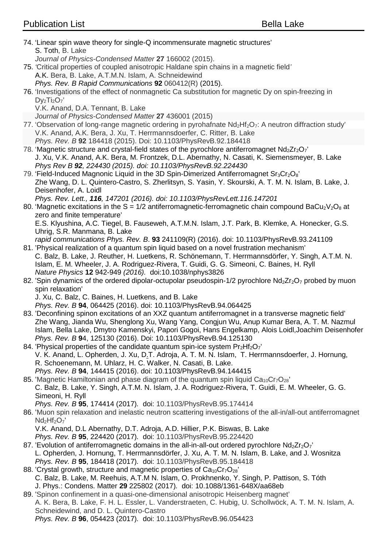- 74. 'Linear spin wave theory for single-Q incommensurate magnetic structures' S. Toth, B. Lake *Journal of Physics-Condensed Matter* **27** 166002 (2015).
- 75. *'*Critical properties of coupled anisotropic Haldane spin chains in a magnetic field*'* A.K. Bera, B. Lake, A.T.M.N. Islam, A. Schneidewind
	- *Phys. Rev. B Rapid Communications* **92** 060412(R) (2015).
- 76. 'Investigations of the effect of nonmagnetic Ca substitution for magnetic Dy on spin-freezing in  $Dv_2Ti_2O_7'$ 
	- V.K. Anand, D.A. Tennant, B. Lake
	- *Journal of Physics-Condensed Matter* **27** 436001 (2015)
- 77. 'Observation of long-range magnetic ordering in pyrohafnate  $Nd_2Hf_2O_7$ : A neutron diffraction study' V.K. Anand, A.K. Bera, J. Xu, T. Herrmannsdoerfer, C. Ritter, B. Lake *Phys. Rev. B* **92** 184418 (2015). Doi: 10.1103/PhysRevB.92.184418
- 78. 'Magnetic structure and crystal-field states of the pyrochlore antiferromagnet  $Nd<sub>2</sub>Zr<sub>2</sub>O<sub>7</sub>'$ J. Xu, V.K. Anand, A.K. Bera, M. Frontzek, D.L. Abernathy, N. Casati, K. Siemensmeyer, B. Lake *Phys Rev B 92, 224430 (2015). doi: 10.1103/PhysRevB.92.224430*
- 79. 'Field-Induced Magnonic Liquid in the 3D Spin-Dimerized Antiferromagnet  $Sr_3Cr_2O_8$ ' Zhe Wang, D. L. Quintero-Castro, S. Zherlitsyn, S. Yasin, Y. Skourski, A. T. M. N. Islam, B. Lake, J. Deisenhofer, A. Loidl *Phys. Rev. Lett., 116, 147201 (2016). doi: 10.1103/PhysRevLett.116.147201*
- 80. 'Magnetic excitations in the S = 1/2 antiferromagnetic-ferromagnetic chain compound BaCu<sub>2</sub>V<sub>2</sub>O<sub>8</sub> at zero and finite temperature' E.S. Klyushina, A.C. Tiegel, B. Fauseweh, A.T.M.N. Islam, J.T. Park, B. Klemke, A. Honecker, G.S. Uhrig, S.R. Manmana, B. Lake
- *rapid communications Phys. Rev. B*. **93** 241109(R) (2016). doi: 10.1103/PhysRevB.93.241109
- 81. 'Physical realization of a quantum spin liquid based on a novel frustration mechanism' C. Balz, B. Lake, J. Reuther, H. Luetkens, R. Schönemann, T. Herrmannsdörfer, Y. Singh, A.T.M. N. Islam, E. M. Wheeler, J. A. Rodriguez-Rivera, T. Guidi, G. G. Simeoni, C. Baines, H. Ryll *Nature Physics* **12** 942-949 *(2016).* doi:10.1038/nphys3826
- 82. 'Spin dynamics of the ordered dipolar-octupolar pseudospin-1/2 pyrochlore  $Nd_2Zr_2O_7$  probed by muon spin relaxation'
	- J. Xu, C. Balz, C. Baines, H. Luetkens, and B. Lake
	- *Phys. Rev. B* **94**, 064425 (2016). doi: 10.1103/PhysRevB.94.064425
- 83. 'Deconfining spinon excitations of an XXZ quantum antiferromagnet in a transverse magnetic field' Zhe Wang, Jianda Wu, Shenglong Xu, Wang Yang, Congjun Wu, Anup Kumar Bera, A. T. M. Nazmul Islam, Bella Lake, Dmytro Kamenskyi, Papori Gogoi, Hans Engelkamp, Alois Loidl,Joachim Deisenhofer *Phys. Rev. B* **9**4, 125130 (2016). Doi: 10.1103/PhysRevB.94.125130
- 84. 'Physical properties of the candidate quantum spin-ice system  $Pr_2H_2O_7'$ V. K. Anand, L. Opherden, J. Xu, D.T. Adroja, A. T. M. N. Islam, T. Herrmannsdoerfer, J. Hornung, R. Schoenemann, M. Uhlarz, H. C. Walker, N. Casati, B. Lake. *Phys. Rev. B* **94**, 144415 (2016). doi: 10.1103/PhysRevB.94.144415
- 85. 'Magnetic Hamiltonian and phase diagram of the quantum spin liquid  $Ca_{10}Cr<sub>7</sub>O<sub>28</sub>$ ' C. Balz, B. Lake, Y. Singh, A.T.M. N. Islam, J. A. Rodriguez-Rivera, T. Guidi, E. M. Wheeler, G. G. Simeoni, H. Ryll *Phys. Rev. B* **95**, 174414 (2017)*.* doi: 10.1103/PhysRevB.95.174414
- 86. 'Muon spin relaxation and inelastic neutron scattering investigations of the all-in/all-out antiferromagnet  $Nd<sub>2</sub>Hf<sub>2</sub>O<sub>7</sub>'$ 
	- V.K. Anand, D.L Abernathy, D.T. Adroja, A.D. Hillier, P.K. Biswas, B. Lake *Phys. Rev. B* **95**, 224420 (2017)*.* doi: 10.1103/PhysRevB.95.224420
- 87. 'Evolution of antiferromagnetic domains in the all-in-all-out ordered pyrochlore  $Nd_2Zr_2O_7'$ L. Opherden, J. Hornung, T. Herrmannsdörfer, J. Xu, A. T. M. N. Islam, B. Lake, and J. Wosnitza *Phys. Rev. B* **95**, 184418 (2017)*.* doi: 10.1103/PhysRevB.95.184418
- 88. 'Crystal growth, structure and magnetic properties of  $Ca<sub>10</sub>Cr<sub>7</sub>O<sub>28</sub>$ ' C. Balz, B. Lake, M. Reehuis, A.T.M N. Islam, O. Prokhnenko, Y. Singh, P. Pattison, S. Tóth J. Phys.: Condens. Matter **29** 225802 (2017)*.* doi: 10.1088/1361-648X/aa68eb
- 89. 'Spinon confinement in a quasi-one-dimensional anisotropic Heisenberg magnet' A. K. Bera, B. Lake, F. H. L. Essler, L. Vanderstraeten, C. Hubig, U. Schollwöck, A. T. M. N. Islam, A. Schneidewind, and D. L. Quintero-Castro *Phys. Rev. B* **96**, 054423 (2017)*.* doi: 10.1103/PhysRevB.96.054423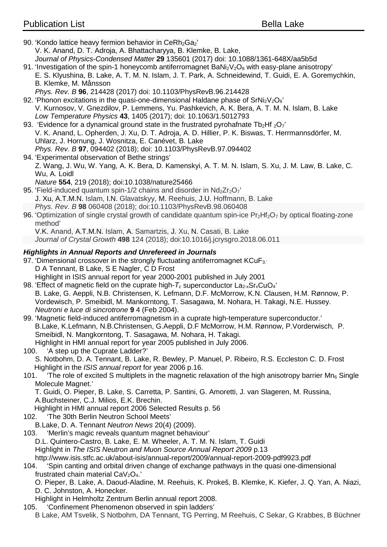90. 'Kondo lattice heavy fermion behavior in CeRh<sub>2</sub>Ga<sub>2</sub>' V. K. Anand, D. T. Adroja, A. Bhattacharyya, B. [Klemke, B](http://apps.webofknowledge.com/DaisyOneClickSearch.do?product=WOS&search_mode=DaisyOneClickSearch&colName=WOS&SID=E3IygrNskoPcDK2wZXx&author_name=Klemke,%20B&dais_id=2001703906&excludeEventConfig=ExcludeIfFromFullRecPage). Lake, *Journal of Physics-Condensed Matter* **29** 135601 (2017) doi: 10.1088/1361-648X/aa5b5d 91. 'Investigation of the spin-1 honeycomb antiferromagnet BaNi<sub>2</sub> $V_2O_8$  with easy-plane anisotropy' E. S. Klyushina, B. Lake, A. T. M. N. Islam, J. T. Park, A. Schneidewind, T. Guidi, E. A. Goremychkin, B. Klemke, M. Månsson *Phys. Rev. B* **96**, 214428 (2017) doi: 10.1103/PhysRevB.96.214428 92. 'Phonon excitations in the quasi-one-dimensional Haldane phase of  $SrNi<sub>2</sub>V<sub>2</sub>O<sub>8</sub>'$ V. Kurnosov, V. Gnezdilov, P. Lemmens, Yu. Pashkevich, A. K. Bera, A. T. M. N. Islam, B. Lake *Low Temperature Physics* **43**, 1405 (2017); doi: 10.1063/1.5012793 93. 'Evidence for a dynamical ground state in the frustrated pyrohafnate  $\text{TD}_2Hf_2\text{O}_7'$ V. K. Anand, L. Opherden, J. Xu, D. T. Adroja, A. D. Hillier, P. K. Biswas, T. Herrmannsdörfer, M. Uhlarz, J. Hornung, J. Wosnitza, E. Canévet, B. Lake *Phys. Rev. B* **97**, 094402 (2018); doi: 10.1103/PhysRevB.97.094402 94. 'Experimental observation of Bethe strings' Z. Wang, J. Wu, W. Yang, A. K. Bera, D. Kamenskyi, A. T. M. N. Islam, S. Xu, J. M. Law, B. Lake, C. Wu, A. Loidl

*Nature* **554**, 219 (2018); doi:10.1038/nature25466

- 95. 'Field-induced quantum spin-1/2 chains and disorder in  $Nd_2Zr_2O_7'$ J. Xu, A.T.M.N. Islam, I.N. Glavatskyy, M. Reehuis, J.U. Hoffmann, B. Lake *Phys. Rev. B* **98** 060408 (2018); doi:10.1103/PhysRevB.98.060408
- 96. 'Optimization of single crystal growth of candidate quantum spin-ice  $Pr<sub>2</sub>Hf<sub>2</sub>O<sub>7</sub>$  by optical floating-zone method'

V.K. Anand, A.T.M.N. Islam, A. Samartzis, J. Xu, N. Casati, B. Lake *Journal of Crystal Growth* **498** 124 (2018); doi:10.1016/j.jcrysgro.2018.06.011

## *Highlights in Annual Reports and Unrefereed in Journals*

- 97. 'Dimensional crossover in the strongly fluctuating antiferromagnet  $KCuF_{3}$ . D A Tennant, B Lake, S E Nagler, C D Frost Highlight in ISIS annual report for year 2000-2001 published in July 2001
- 98. 'Effect of magnetic field on the cuprate high- $T_c$  superconductor  $La<sub>2-x</sub>Sr<sub>x</sub>CuO<sub>4</sub>'$ B. Lake, G. Aeppli, N.B. Christensen, K. Lefmann, D.F. McMorrow, K.N. Clausen, H.M. Rønnow, P. Vordewisch, P. Smeibidl, M. Mankorntong, T. Sasagawa, M. Nohara, H. Takagi, N.E. Hussey. *Neutroni e luce di sincrotrone* **9** 4 (Feb 2004).

99. 'Magnetic field-induced antiferromagnetism in a cuprate high-temperature superconductor.' B.Lake, K.Lefmann, N.B.Christensen, G.Aeppli, D.F McMorrow, H.M. Rønnow, P.Vorderwisch, P. Smeibidl, N. Mangkorntong, T. Sasagawa, M. Nohara, H. Takagi. Highlight in HMI annual report for year 2005 published in July 2006.

- 100. 'A step up the Cuprate Ladder?' S. Notbohm, D. A. Tennant, B. Lake, R. Bewley, P. Manuel, P. Ribeiro, R.S. Eccleston C. D. Frost Highlight in the *ISIS annual report* for year 2006 p.16.
- 101. 'The role of excited S multiplets in the magnetic relaxation of the high anisotropy barrier Mn<sub>6</sub> Single Molecule Magnet.'

T. Guidi, O. Pieper, B. Lake, S. Carretta, P. Santini, G. Amoretti, J. van Slageren, M. Russina, A.Buchsteiner, C.J. Milios, E.K. Brechin.

Highlight in HMI annual report 2006 Selected Results p. 56

- 102. 'The 30th Berlin Neutron School Meets'
- B.Lake, D. A. Tennant *Neutron News* 20(4) (2009).
- 103. 'Merlin's magic reveals quantum magnet behaviour'
	- D.L. Quintero-Castro, B. Lake, E. M. Wheeler, A. T. M. N. Islam, T. Guidi

Highlight in *The ISIS Neutron and Muon Source Annual Report 2009* p.13

http://www.isis.stfc.ac.uk/about-isis/annual-report/2009/annual-report-2009-pdf9923.pdf

## 104. 'Spin canting and orbital driven change of exchange pathways in the quasi one-dimensional frustrated chain material  $CaV<sub>2</sub>O<sub>4</sub>$ .'

O. Pieper, B. Lake, A. Daoud-Aladine, M. Reehuis, K. Prokeš, B. Klemke, K. Kiefer, J. Q. Yan, A. Niazi, D. C. Johnston, A. Honecker.

Highlight in Helmholtz Zentrum Berlin annual report 2008.

105. 'Confinement Phenomenon observed in spin ladders'

B Lake, AM Tsvelik, S Notbohm, DA Tennant, TG Perring, M Reehuis, C Sekar, G Krabbes, B Büchner